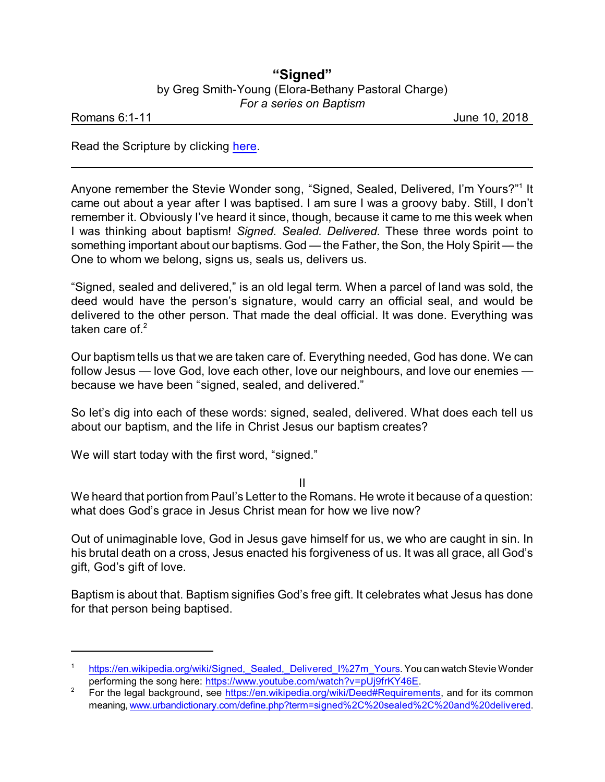## **"Signed"** by Greg Smith-Young (Elora-Bethany Pastoral Charge) *For a series on Baptism*

Romans 6:1-11 **Communism in the United States of the United States of the United States of the United States of the United States of the United States of the United States of the United States of the United States of the U** 

Read the Scripture by clicking [here](https://www.biblegateway.com/passage/?search=Romans+6%3A1-11&version=NIV).

Anyone remember the Stevie Wonder song, "Signed, Sealed, Delivered, I'm Yours?"<sup>1</sup> It came out about a year after I was baptised. I am sure I was a groovy baby. Still, I don't remember it. Obviously I've heard it since, though, because it came to me this week when I was thinking about baptism! *Signed. Sealed. Delivered.* These three words point to something important about our baptisms. God — the Father, the Son, the Holy Spirit — the One to whom we belong, signs us, seals us, delivers us.

"Signed, sealed and delivered," is an old legal term. When a parcel of land was sold, the deed would have the person's signature, would carry an official seal, and would be delivered to the other person. That made the deal official. It was done. Everything was taken care of  $2$ 

Our baptism tells us that we are taken care of. Everything needed, God has done. We can follow Jesus — love God, love each other, love our neighbours, and love our enemies because we have been "signed, sealed, and delivered."

So let's dig into each of these words: signed, sealed, delivered. What does each tell us about our baptism, and the life in Christ Jesus our baptism creates?

We will start today with the first word, "signed."

II

We heard that portion from Paul's Letter to the Romans. He wrote it because of a question: what does God's grace in Jesus Christ mean for how we live now?

Out of unimaginable love, God in Jesus gave himself for us, we who are caught in sin. In his brutal death on a cross, Jesus enacted his forgiveness of us. It was all grace, all God's gift, God's gift of love.

Baptism is about that. Baptism signifies God's free gift. It celebrates what Jesus has done for that person being baptised.

https://en.wikipedia.org/wiki/Signed, Sealed, Delivered I%27m Yours. You can watch Stevie Wonder performing the song here: <https://www.youtube.com/watch?v=pUj9frKY46E>.

<sup>&</sup>lt;sup>2</sup> For the legal background, see <https://en.wikipedia.org/wiki/Deed#Requirements>, and for its common meaning, [www.urbandictionary.com/define.php?term=signed%2C%20sealed%2C%20and%20delivered](https://www.urbandictionary.com/define.php?term=signed%2C%20sealed%2C%20and%20delivered).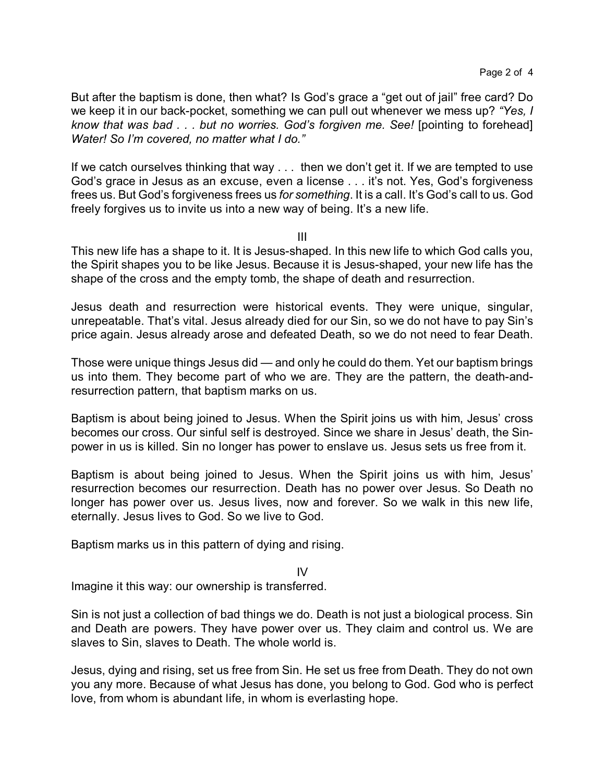But after the baptism is done, then what? Is God's grace a "get out of jail" free card? Do we keep it in our back-pocket, something we can pull out whenever we mess up? *"Yes, I know that was bad . . . but no worries. God's forgiven me. See!* [pointing to forehead] *Water! So I'm covered, no matter what I do."*

If we catch ourselves thinking that way . . . then we don't get it. If we are tempted to use God's grace in Jesus as an excuse, even a license . . . it's not. Yes, God's forgiveness frees us. But God's forgiveness frees us *for something*. It is a call. It's God's call to us. God freely forgives us to invite us into a new way of being. It's a new life.

III

This new life has a shape to it. It is Jesus-shaped. In this new life to which God calls you, the Spirit shapes you to be like Jesus. Because it is Jesus-shaped, your new life has the shape of the cross and the empty tomb, the shape of death and resurrection.

Jesus death and resurrection were historical events. They were unique, singular, unrepeatable. That's vital. Jesus already died for our Sin, so we do not have to pay Sin's price again. Jesus already arose and defeated Death, so we do not need to fear Death.

Those were unique things Jesus did — and only he could do them. Yet our baptism brings us into them. They become part of who we are. They are the pattern, the death-andresurrection pattern, that baptism marks on us.

Baptism is about being joined to Jesus. When the Spirit joins us with him, Jesus' cross becomes our cross. Our sinful self is destroyed. Since we share in Jesus' death, the Sinpower in us is killed. Sin no longer has power to enslave us. Jesus sets us free from it.

Baptism is about being joined to Jesus. When the Spirit joins us with him, Jesus' resurrection becomes our resurrection. Death has no power over Jesus. So Death no longer has power over us. Jesus lives, now and forever. So we walk in this new life, eternally. Jesus lives to God. So we live to God.

Baptism marks us in this pattern of dying and rising.

IV

Imagine it this way: our ownership is transferred.

Sin is not just a collection of bad things we do. Death is not just a biological process. Sin and Death are powers. They have power over us. They claim and control us. We are slaves to Sin, slaves to Death. The whole world is.

Jesus, dying and rising, set us free from Sin. He set us free from Death. They do not own you any more. Because of what Jesus has done, you belong to God. God who is perfect love, from whom is abundant life, in whom is everlasting hope.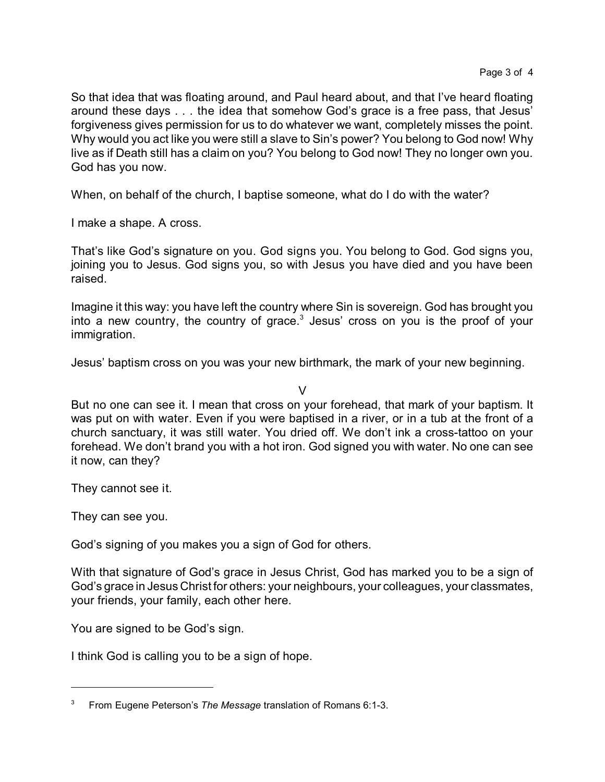So that idea that was floating around, and Paul heard about, and that I've heard floating around these days . . . the idea that somehow God's grace is a free pass, that Jesus' forgiveness gives permission for us to do whatever we want, completely misses the point. Why would you act like you were still a slave to Sin's power? You belong to God now! Why live as if Death still has a claim on you? You belong to God now! They no longer own you. God has you now.

When, on behalf of the church, I baptise someone, what do I do with the water?

I make a shape. A cross.

That's like God's signature on you. God signs you. You belong to God. God signs you, joining you to Jesus. God signs you, so with Jesus you have died and you have been raised.

Imagine it this way: you have left the country where Sin is sovereign. God has brought you into a new country, the country of grace. $3$  Jesus' cross on you is the proof of your immigration.

Jesus' baptism cross on you was your new birthmark, the mark of your new beginning.

 $\mathcal{U}$ 

But no one can see it. I mean that cross on your forehead, that mark of your baptism. It was put on with water. Even if you were baptised in a river, or in a tub at the front of a church sanctuary, it was still water. You dried off. We don't ink a cross-tattoo on your forehead. We don't brand you with a hot iron. God signed you with water. No one can see it now, can they?

They cannot see it.

They can see you.

God's signing of you makes you a sign of God for others.

With that signature of God's grace in Jesus Christ, God has marked you to be a sign of God's grace in Jesus Christ for others: your neighbours, your colleagues, your classmates, your friends, your family, each other here.

You are signed to be God's sign.

I think God is calling you to be a sign of hope.

<sup>3</sup> From Eugene Peterson's *The Message* translation of Romans 6:1-3.